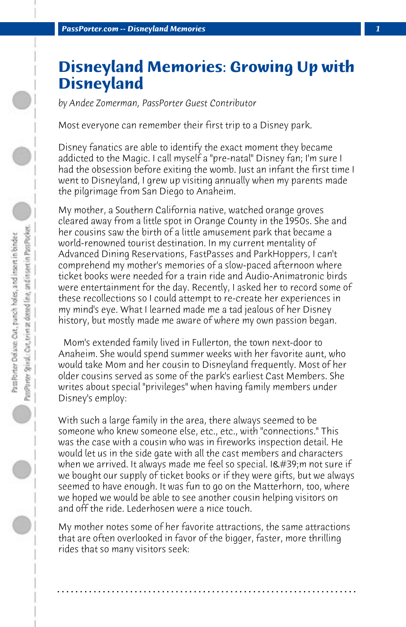## **Disneyland Memories: Growing Up with Disneyland**

*by Andee Zomerman, PassPorter Guest Contributor*

Most everyone can remember their first trip to a Disney park.

Disney fanatics are able to identify the exact moment they became addicted to the Magic. I call myself a "pre-natal" Disney fan; I'm sure I had the obsession before exiting the womb. Just an infant the first time I went to Disneyland, I grew up visiting annually when my parents made the pilgrimage from San Diego to Anaheim.

My mother, a Southern California native, watched orange groves cleared away from a little spot in Orange County in the 1950s. She and her cousins saw the birth of a little amusement park that became a world-renowned tourist destination. In my current mentality of Advanced Dining Reservations, FastPasses and ParkHoppers, I can't comprehend my mother's memories of a slow-paced afternoon where ticket books were needed for a train ride and Audio-Animatronic birds were entertainment for the day. Recently, I asked her to record some of these recollections so I could attempt to re-create her experiences in my mind's eye. What I learned made me a tad jealous of her Disney history, but mostly made me aware of where my own passion began.

 Mom's extended family lived in Fullerton, the town next-door to Anaheim. She would spend summer weeks with her favorite aunt, who would take Mom and her cousin to Disneyland frequently. Most of her older cousins served as some of the park's earliest Cast Members. She writes about special "privileges" when having family members under Disney's employ:

With such a large family in the area, there always seemed to be someone who knew someone else, etc., etc., with "connections." This was the case with a cousin who was in fireworks inspection detail. He would let us in the side gate with all the cast members and characters when we arrived. It always made me feel so special. I'm not sure if we bought our supply of ticket books or if they were gifts, but we always seemed to have enough. It was fun to go on the Matterhorn, too, where we hoped we would be able to see another cousin helping visitors on and off the ride. Lederhosen were a nice touch.

My mother notes some of her favorite attractions, the same attractions that are often overlooked in favor of the bigger, faster, more thrilling rides that so many visitors seek:

**. . . . . . . . . . . . . . . . . . . . . . . . . . . . . . . . . . . . . . . . . . . . . . . . . . . . . . . . . . . . . . . . . .**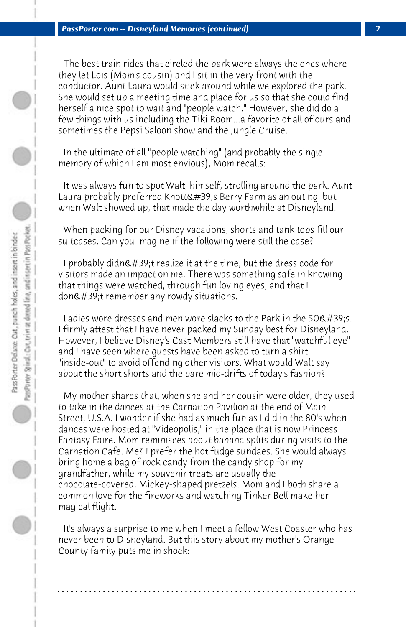The best train rides that circled the park were always the ones where they let Lois (Mom's cousin) and I sit in the very front with the conductor. Aunt Laura would stick around while we explored the park. She would set up a meeting time and place for us so that she could find herself a nice spot to wait and "people watch." However, she did do a few things with us including the Tiki Room...a favorite of all of ours and sometimes the Pepsi Saloon show and the Jungle Cruise.

 In the ultimate of all "people watching" (and probably the single memory of which I am most envious), Mom recalls:

 It was always fun to spot Walt, himself, strolling around the park. Aunt Laura probably preferred Knott's Berry Farm as an outing, but when Walt showed up, that made the day worthwhile at Disneyland.

 When packing for our Disney vacations, shorts and tank tops fill our suitcases. Can you imagine if the following were still the case?

I probably didn $\&$ #39;t realize it at the time, but the dress code for visitors made an impact on me. There was something safe in knowing that things were watched, through fun loving eyes, and that I don't remember any rowdy situations.

Ladies wore dresses and men wore slacks to the Park in the 50 $\&$ #39:s. I firmly attest that I have never packed my Sunday best for Disneyland. However, I believe Disney's Cast Members still have that "watchful eye" and I have seen where guests have been asked to turn a shirt "inside-out" to avoid offending other visitors. What would Walt say about the short shorts and the bare mid-drifts of today's fashion?

 My mother shares that, when she and her cousin were older, they used to take in the dances at the Carnation Pavilion at the end of Main Street, U.S.A. I wonder if she had as much fun as I did in the 80's when dances were hosted at "Videopolis," in the place that is now Princess Fantasy Faire. Mom reminisces about banana splits during visits to the Carnation Cafe. Me? I prefer the hot fudge sundaes. She would always bring home a bag of rock candy from the candy shop for my grandfather, while my souvenir treats are usually the chocolate-covered, Mickey-shaped pretzels. Mom and I both share a common love for the fireworks and watching Tinker Bell make her magical flight.

 It's always a surprise to me when I meet a fellow West Coaster who has never been to Disneyland. But this story about my mother's Orange County family puts me in shock:

**. . . . . . . . . . . . . . . . . . . . . . . . . . . . . . . . . . . . . . . . . . . . . . . . . . . . . . . . . . . . . . . . . .**